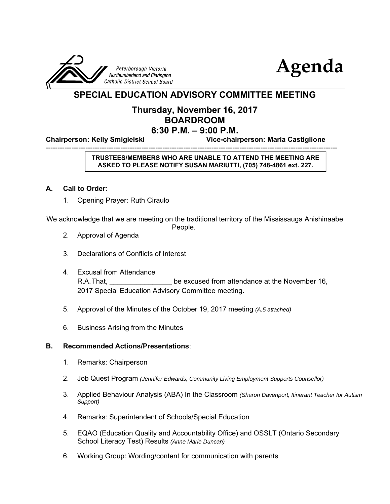



# **SPECIAL EDUCATION ADVISORY COMMITTEE MEETING**

# **Thursday, November 16, 2017 BOARDROOM 6:30 P.M. – 9:00 P.M.**

-----------------------------------------------------------------------------------------------------------------------------

**Chairperson: Kelly Smigielski Vice-chairperson: Maria Castiglione**

## **TRUSTEES/MEMBERS WHO ARE UNABLE TO ATTEND THE MEETING ARE ASKED TO PLEASE NOTIFY SUSAN MARIUTTI, (705) 748-4861 ext. 227.**

## **A. Call to Order**:

1. Opening Prayer: Ruth Ciraulo

We acknowledge that we are meeting on the traditional territory of the Mississauga Anishinaabe

- People.
- 2. Approval of Agenda
- 3. Declarations of Conflicts of Interest
- 4. Excusal from Attendance R.A. That, **R.A.** That, **R.A.** That, **R.A.** That, **R.A.** That, **be excused from attendance at the November 16,** 2017 Special Education Advisory Committee meeting.
- 5. Approval of the Minutes of the October 19, 2017 meeting *(A.5 attached)*
- 6. Business Arising from the Minutes

### **B. Recommended Actions/Presentations**:

- 1. Remarks: Chairperson
- 2. Job Quest Program *(Jennifer Edwards, Community Living Employment Supports Counsellor)*
- 3. Applied Behaviour Analysis (ABA) In the Classroom *(Sharon Davenport, Itinerant Teacher for Autism Support)*
- 4. Remarks: Superintendent of Schools/Special Education
- 5. EQAO (Education Quality and Accountability Office) and OSSLT (Ontario Secondary School Literacy Test) Results *(Anne Marie Duncan)*
- 6. Working Group: Wording/content for communication with parents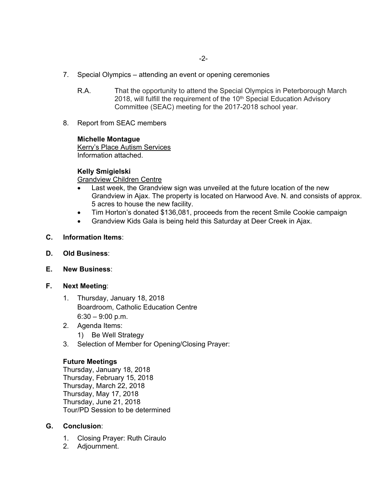- 7. Special Olympics attending an event or opening ceremonies
	- R.A. That the opportunity to attend the Special Olympics in Peterborough March 2018, will fulfill the requirement of the 10<sup>th</sup> Special Education Advisory Committee (SEAC) meeting for the 2017-2018 school year.
- 8. Report from SEAC members

### **Michelle Montague**

Kerry's Place Autism Services Information attached.

## **Kelly Smigielski**

Grandview Children Centre

- Last week, the Grandview sign was unveiled at the future location of the new Grandview in Ajax. The property is located on Harwood Ave. N. and consists of approx. 5 acres to house the new facility.
- Tim Horton's donated \$136,081, proceeds from the recent Smile Cookie campaign
- Grandview Kids Gala is being held this Saturday at Deer Creek in Ajax.
- **C. Information Items**:
- **D. Old Business**:
- **E. New Business**:
- **F. Next Meeting**:
	- 1. Thursday, January 18, 2018 Boardroom, Catholic Education Centre  $6:30 - 9:00$  p.m.
	- 2. Agenda Items: 1) Be Well Strategy
	- 3. Selection of Member for Opening/Closing Prayer:

## **Future Meetings**

Thursday, January 18, 2018 Thursday, February 15, 2018 Thursday, March 22, 2018 Thursday, May 17, 2018 Thursday, June 21, 2018 Tour/PD Session to be determined

## **G. Conclusion**:

- 1. Closing Prayer: Ruth Ciraulo
- 2. Adjournment.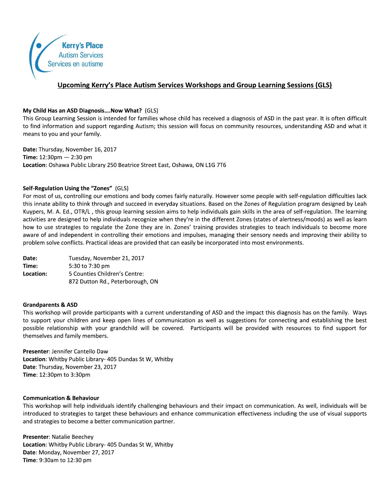

## Upcoming Kerry's Place Autism Services Workshops and Group Learning Sessions (GLS)

#### My Child Has an ASD Diagnosis....Now What? (GLS)

This Group Learning Session is intended for families whose child has received a diagnosis of ASD in the past year. It is often difficult to find information and support regarding Autism; this session will focus on community resources, understanding ASD and what it means to you and your family.

Date: Thursday, November 16, 2017 Time:  $12:30 \text{pm} - 2:30 \text{pm}$ Location: Oshawa Public Library 250 Beatrice Street East, Oshawa, ON L1G 7T6

#### Self-Regulation Using the "Zones" (GLS)

For most of us, controlling our emotions and body comes fairly naturally. However some people with self-regulation difficulties lack this innate ability to think through and succeed in everyday situations. Based on the Zones of Regulation program designed by Leah Kuypers, M. A. Ed., OTR/L, this group learning session aims to help individuals gain skills in the area of self-regulation. The learning activities are designed to help individuals recognize when they're in the different Zones (states of alertness/moods) as well as learn how to use strategies to regulate the Zone they are in. Zones' training provides strategies to teach individuals to become more aware of and independent in controlling their emotions and impulses, managing their sensory needs and improving their ability to problem solve conflicts. Practical ideas are provided that can easily be incorporated into most environments.

Date: Tuesday, November 21, 2017 Time: 5:30 to 7:30 pm Location: 5 Counties Children's Centre: 872 Dutton Rd., Peterborough, ON

#### **Grandparents & ASD**

This workshop will provide participants with a current understanding of ASD and the impact this diagnosis has on the family. Ways to support your children and keep open lines of communication as well as suggestions for connecting and establishing the best possible relationship with your grandchild will be covered. Participants will be provided with resources to find support for themselves and family members.

Presenter: Jennifer Cantello Daw **Location:** Whitby Public Library- 405 Dundas St W, Whitby Date: Thursday, November 23, 2017 Time: 12:30pm to 3:30pm

#### **Communication & Behaviour**

This workshop will help individuals identify challenging behaviours and their impact on communication. As well, individuals will be introduced to strategies to target these behaviours and enhance communication effectiveness including the use of visual supports and strategies to become a better communication partner.

Presenter: Natalie Beechey Location: Whitby Public Library- 405 Dundas St W, Whitby Date: Monday, November 27, 2017 Time: 9:30am to 12:30 pm